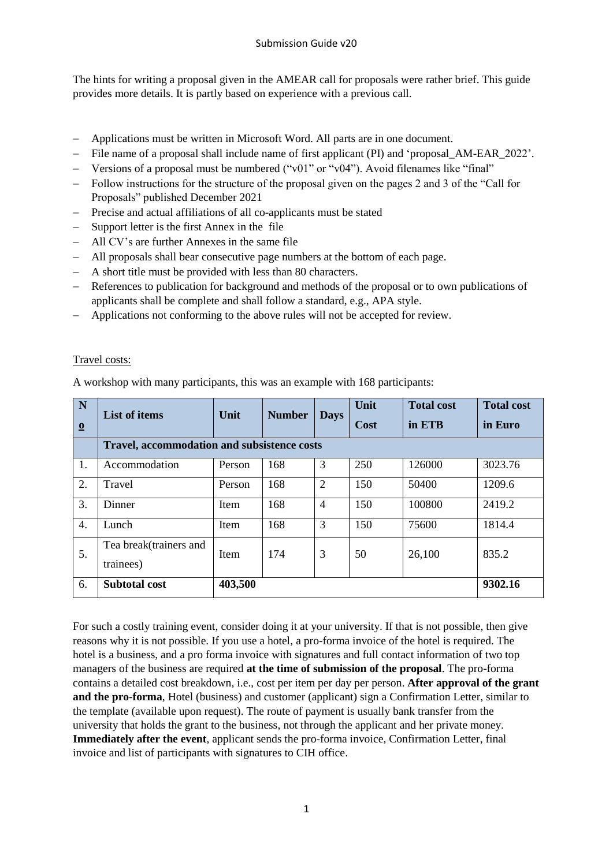The hints for writing a proposal given in the AMEAR call for proposals were rather brief. This guide provides more details. It is partly based on experience with a previous call.

- Applications must be written in Microsoft Word. All parts are in one document.
- File name of a proposal shall include name of first applicant (PI) and 'proposal AM-EAR 2022'.
- Versions of a proposal must be numbered ("v01" or "v04"). Avoid filenames like "final"
- Follow instructions for the structure of the proposal given on the pages 2 and 3 of the "Call for Proposals" published December 2021
- Precise and actual affiliations of all co-applicants must be stated
- Support letter is the first Annex in the file
- All CV's are further Annexes in the same file
- All proposals shall bear consecutive page numbers at the bottom of each page.
- A short title must be provided with less than 80 characters.
- References to publication for background and methods of the proposal or to own publications of applicants shall be complete and shall follow a standard, e.g., APA style.
- Applications not conforming to the above rules will not be accepted for review.

## Travel costs:

A workshop with many participants, this was an example with 168 participants:

| N<br>$\overline{\mathbf{0}}$ | <b>List of items</b>                               | Unit        | <b>Number</b> | <b>Days</b>    | Unit<br><b>Cost</b> | <b>Total cost</b><br>in ETB | <b>Total cost</b><br>in Euro |  |
|------------------------------|----------------------------------------------------|-------------|---------------|----------------|---------------------|-----------------------------|------------------------------|--|
|                              | <b>Travel, accommodation and subsistence costs</b> |             |               |                |                     |                             |                              |  |
| 1.                           | Accommodation                                      | Person      | 168           | 3              | 250                 | 126000                      | 3023.76                      |  |
| 2.                           | Travel                                             | Person      | 168           | $\overline{2}$ | 150                 | 50400                       | 1209.6                       |  |
| 3.                           | Dinner                                             | Item        | 168           | $\overline{4}$ | 150                 | 100800                      | 2419.2                       |  |
| 4.                           | Lunch                                              | Item        | 168           | 3              | 150                 | 75600                       | 1814.4                       |  |
| 5.                           | Tea break(trainers and<br>trainees)                | <b>Item</b> | 174           | 3              | 50                  | 26,100                      | 835.2                        |  |
| 6.                           | <b>Subtotal cost</b>                               | 403,500     |               |                |                     |                             | 9302.16                      |  |

For such a costly training event, consider doing it at your university. If that is not possible, then give reasons why it is not possible. If you use a hotel, a pro-forma invoice of the hotel is required. The hotel is a business, and a pro forma invoice with signatures and full contact information of two top managers of the business are required **at the time of submission of the proposal**. The pro-forma contains a detailed cost breakdown, i.e., cost per item per day per person. **After approval of the grant and the pro-forma**, Hotel (business) and customer (applicant) sign a Confirmation Letter, similar to the template (available upon request). The route of payment is usually bank transfer from the university that holds the grant to the business, not through the applicant and her private money. **Immediately after the event**, applicant sends the pro-forma invoice, Confirmation Letter, final invoice and list of participants with signatures to CIH office.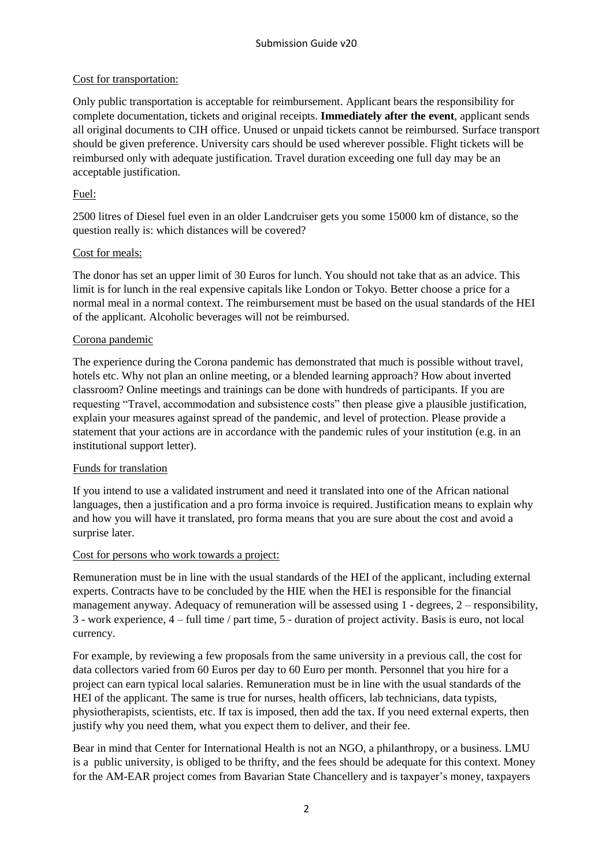## Cost for transportation:

Only public transportation is acceptable for reimbursement. Applicant bears the responsibility for complete documentation, tickets and original receipts. **Immediately after the event**, applicant sends all original documents to CIH office. Unused or unpaid tickets cannot be reimbursed. Surface transport should be given preference. University cars should be used wherever possible. Flight tickets will be reimbursed only with adequate justification. Travel duration exceeding one full day may be an acceptable justification.

## Fuel:

2500 litres of Diesel fuel even in an older Landcruiser gets you some 15000 km of distance, so the question really is: which distances will be covered?

#### Cost for meals:

The donor has set an upper limit of 30 Euros for lunch. You should not take that as an advice. This limit is for lunch in the real expensive capitals like London or Tokyo. Better choose a price for a normal meal in a normal context. The reimbursement must be based on the usual standards of the HEI of the applicant. Alcoholic beverages will not be reimbursed.

#### Corona pandemic

The experience during the Corona pandemic has demonstrated that much is possible without travel, hotels etc. Why not plan an online meeting, or a blended learning approach? How about inverted classroom? Online meetings and trainings can be done with hundreds of participants. If you are requesting "Travel, accommodation and subsistence costs" then please give a plausible justification, explain your measures against spread of the pandemic, and level of protection. Please provide a statement that your actions are in accordance with the pandemic rules of your institution (e.g. in an institutional support letter).

## Funds for translation

If you intend to use a validated instrument and need it translated into one of the African national languages, then a justification and a pro forma invoice is required. Justification means to explain why and how you will have it translated, pro forma means that you are sure about the cost and avoid a surprise later.

#### Cost for persons who work towards a project:

Remuneration must be in line with the usual standards of the HEI of the applicant, including external experts. Contracts have to be concluded by the HIE when the HEI is responsible for the financial management anyway. Adequacy of remuneration will be assessed using 1 - degrees, 2 – responsibility, 3 - work experience, 4 – full time / part time, 5 - duration of project activity. Basis is euro, not local currency.

For example, by reviewing a few proposals from the same university in a previous call, the cost for data collectors varied from 60 Euros per day to 60 Euro per month. Personnel that you hire for a project can earn typical local salaries. Remuneration must be in line with the usual standards of the HEI of the applicant. The same is true for nurses, health officers, lab technicians, data typists, physiotherapists, scientists, etc. If tax is imposed, then add the tax. If you need external experts, then justify why you need them, what you expect them to deliver, and their fee.

Bear in mind that Center for International Health is not an NGO, a philanthropy, or a business. LMU is a public university, is obliged to be thrifty, and the fees should be adequate for this context. Money for the AM-EAR project comes from Bavarian State Chancellery and is taxpayer's money, taxpayers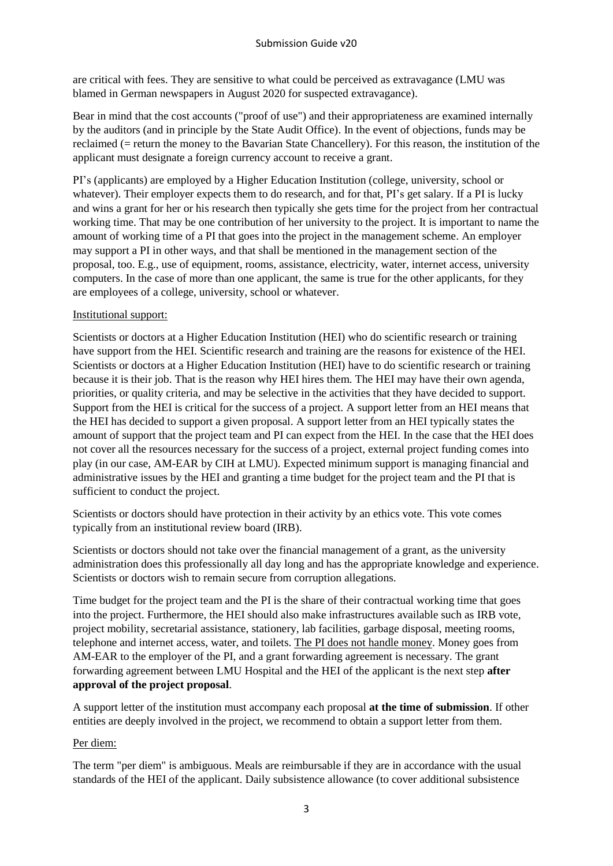are critical with fees. They are sensitive to what could be perceived as extravagance (LMU was blamed in German newspapers in August 2020 for suspected extravagance).

Bear in mind that the cost accounts ("proof of use") and their appropriateness are examined internally by the auditors (and in principle by the State Audit Office). In the event of objections, funds may be reclaimed (= return the money to the Bavarian State Chancellery). For this reason, the institution of the applicant must designate a foreign currency account to receive a grant.

PI's (applicants) are employed by a Higher Education Institution (college, university, school or whatever). Their employer expects them to do research, and for that, PI's get salary. If a PI is lucky and wins a grant for her or his research then typically she gets time for the project from her contractual working time. That may be one contribution of her university to the project. It is important to name the amount of working time of a PI that goes into the project in the management scheme. An employer may support a PI in other ways, and that shall be mentioned in the management section of the proposal, too. E.g., use of equipment, rooms, assistance, electricity, water, internet access, university computers. In the case of more than one applicant, the same is true for the other applicants, for they are employees of a college, university, school or whatever.

## Institutional support:

Scientists or doctors at a Higher Education Institution (HEI) who do scientific research or training have support from the HEI. Scientific research and training are the reasons for existence of the HEI. Scientists or doctors at a Higher Education Institution (HEI) have to do scientific research or training because it is their job. That is the reason why HEI hires them. The HEI may have their own agenda, priorities, or quality criteria, and may be selective in the activities that they have decided to support. Support from the HEI is critical for the success of a project. A support letter from an HEI means that the HEI has decided to support a given proposal. A support letter from an HEI typically states the amount of support that the project team and PI can expect from the HEI. In the case that the HEI does not cover all the resources necessary for the success of a project, external project funding comes into play (in our case, AM-EAR by CIH at LMU). Expected minimum support is managing financial and administrative issues by the HEI and granting a time budget for the project team and the PI that is sufficient to conduct the project.

Scientists or doctors should have protection in their activity by an ethics vote. This vote comes typically from an institutional review board (IRB).

Scientists or doctors should not take over the financial management of a grant, as the university administration does this professionally all day long and has the appropriate knowledge and experience. Scientists or doctors wish to remain secure from corruption allegations.

Time budget for the project team and the PI is the share of their contractual working time that goes into the project. Furthermore, the HEI should also make infrastructures available such as IRB vote, project mobility, secretarial assistance, stationery, lab facilities, garbage disposal, meeting rooms, telephone and internet access, water, and toilets. The PI does not handle money. Money goes from AM-EAR to the employer of the PI, and a grant forwarding agreement is necessary. The grant forwarding agreement between LMU Hospital and the HEI of the applicant is the next step **after approval of the project proposal**.

A support letter of the institution must accompany each proposal **at the time of submission**. If other entities are deeply involved in the project, we recommend to obtain a support letter from them.

## Per diem:

The term "per diem" is ambiguous. Meals are reimbursable if they are in accordance with the usual standards of the HEI of the applicant. Daily subsistence allowance (to cover additional subsistence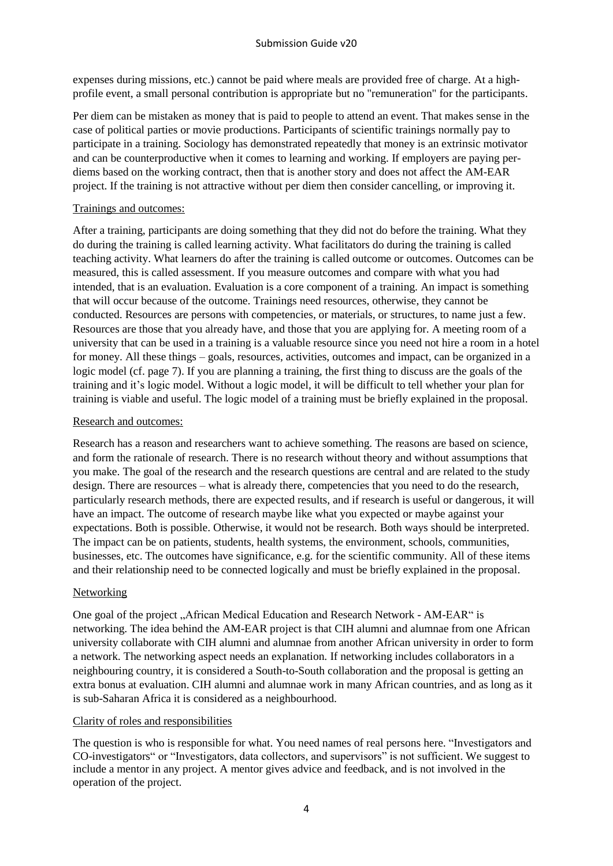expenses during missions, etc.) cannot be paid where meals are provided free of charge. At a highprofile event, a small personal contribution is appropriate but no "remuneration" for the participants.

Per diem can be mistaken as money that is paid to people to attend an event. That makes sense in the case of political parties or movie productions. Participants of scientific trainings normally pay to participate in a training. Sociology has demonstrated repeatedly that money is an extrinsic motivator and can be counterproductive when it comes to learning and working. If employers are paying perdiems based on the working contract, then that is another story and does not affect the AM-EAR project. If the training is not attractive without per diem then consider cancelling, or improving it.

## Trainings and outcomes:

After a training, participants are doing something that they did not do before the training. What they do during the training is called learning activity. What facilitators do during the training is called teaching activity. What learners do after the training is called outcome or outcomes. Outcomes can be measured, this is called assessment. If you measure outcomes and compare with what you had intended, that is an evaluation. Evaluation is a core component of a training. An impact is something that will occur because of the outcome. Trainings need resources, otherwise, they cannot be conducted. Resources are persons with competencies, or materials, or structures, to name just a few. Resources are those that you already have, and those that you are applying for. A meeting room of a university that can be used in a training is a valuable resource since you need not hire a room in a hotel for money. All these things – goals, resources, activities, outcomes and impact, can be organized in a logic model (cf. page 7). If you are planning a training, the first thing to discuss are the goals of the training and it's logic model. Without a logic model, it will be difficult to tell whether your plan for training is viable and useful. The logic model of a training must be briefly explained in the proposal.

# Research and outcomes:

Research has a reason and researchers want to achieve something. The reasons are based on science, and form the rationale of research. There is no research without theory and without assumptions that you make. The goal of the research and the research questions are central and are related to the study design. There are resources – what is already there, competencies that you need to do the research, particularly research methods, there are expected results, and if research is useful or dangerous, it will have an impact. The outcome of research maybe like what you expected or maybe against your expectations. Both is possible. Otherwise, it would not be research. Both ways should be interpreted. The impact can be on patients, students, health systems, the environment, schools, communities, businesses, etc. The outcomes have significance, e.g. for the scientific community. All of these items and their relationship need to be connected logically and must be briefly explained in the proposal.

## Networking

One goal of the project , African Medical Education and Research Network - AM-EAR" is networking. The idea behind the AM-EAR project is that CIH alumni and alumnae from one African university collaborate with CIH alumni and alumnae from another African university in order to form a network. The networking aspect needs an explanation. If networking includes collaborators in a neighbouring country, it is considered a South-to-South collaboration and the proposal is getting an extra bonus at evaluation. CIH alumni and alumnae work in many African countries, and as long as it is sub-Saharan Africa it is considered as a neighbourhood.

## Clarity of roles and responsibilities

The question is who is responsible for what. You need names of real persons here. "Investigators and CO-investigators" or "Investigators, data collectors, and supervisors" is not sufficient. We suggest to include a mentor in any project. A mentor gives advice and feedback, and is not involved in the operation of the project.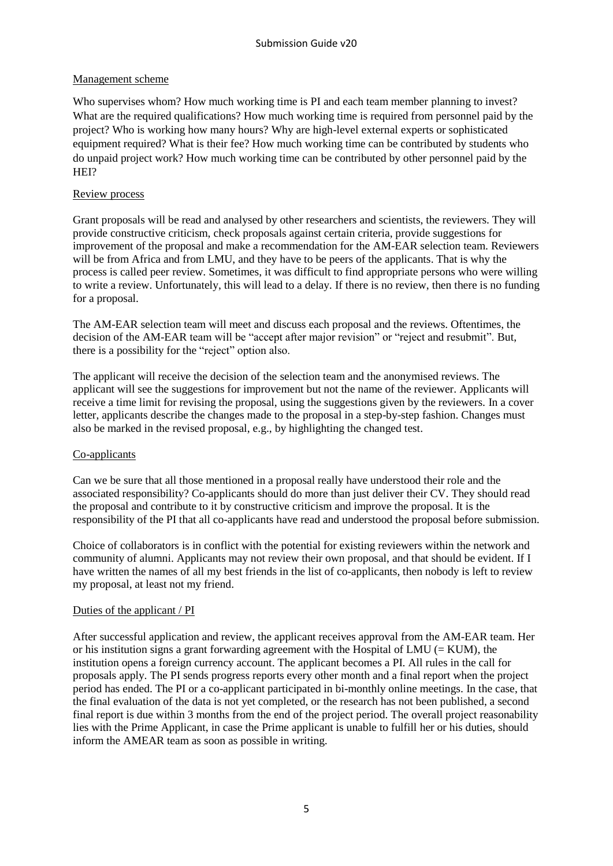## Management scheme

Who supervises whom? How much working time is PI and each team member planning to invest? What are the required qualifications? How much working time is required from personnel paid by the project? Who is working how many hours? Why are high-level external experts or sophisticated equipment required? What is their fee? How much working time can be contributed by students who do unpaid project work? How much working time can be contributed by other personnel paid by the HEI?

# Review process

Grant proposals will be read and analysed by other researchers and scientists, the reviewers. They will provide constructive criticism, check proposals against certain criteria, provide suggestions for improvement of the proposal and make a recommendation for the AM-EAR selection team. Reviewers will be from Africa and from LMU, and they have to be peers of the applicants. That is why the process is called peer review. Sometimes, it was difficult to find appropriate persons who were willing to write a review. Unfortunately, this will lead to a delay. If there is no review, then there is no funding for a proposal.

The AM-EAR selection team will meet and discuss each proposal and the reviews. Oftentimes, the decision of the AM-EAR team will be "accept after major revision" or "reject and resubmit". But, there is a possibility for the "reject" option also.

The applicant will receive the decision of the selection team and the anonymised reviews. The applicant will see the suggestions for improvement but not the name of the reviewer. Applicants will receive a time limit for revising the proposal, using the suggestions given by the reviewers. In a cover letter, applicants describe the changes made to the proposal in a step-by-step fashion. Changes must also be marked in the revised proposal, e.g., by highlighting the changed test.

## Co-applicants

Can we be sure that all those mentioned in a proposal really have understood their role and the associated responsibility? Co-applicants should do more than just deliver their CV. They should read the proposal and contribute to it by constructive criticism and improve the proposal. It is the responsibility of the PI that all co-applicants have read and understood the proposal before submission.

Choice of collaborators is in conflict with the potential for existing reviewers within the network and community of alumni. Applicants may not review their own proposal, and that should be evident. If I have written the names of all my best friends in the list of co-applicants, then nobody is left to review my proposal, at least not my friend.

## Duties of the applicant / PI

After successful application and review, the applicant receives approval from the AM-EAR team. Her or his institution signs a grant forwarding agreement with the Hospital of LMU ( $=$  KUM), the institution opens a foreign currency account. The applicant becomes a PI. All rules in the call for proposals apply. The PI sends progress reports every other month and a final report when the project period has ended. The PI or a co-applicant participated in bi-monthly online meetings. In the case, that the final evaluation of the data is not yet completed, or the research has not been published, a second final report is due within 3 months from the end of the project period. The overall project reasonability lies with the Prime Applicant, in case the Prime applicant is unable to fulfill her or his duties, should inform the AMEAR team as soon as possible in writing.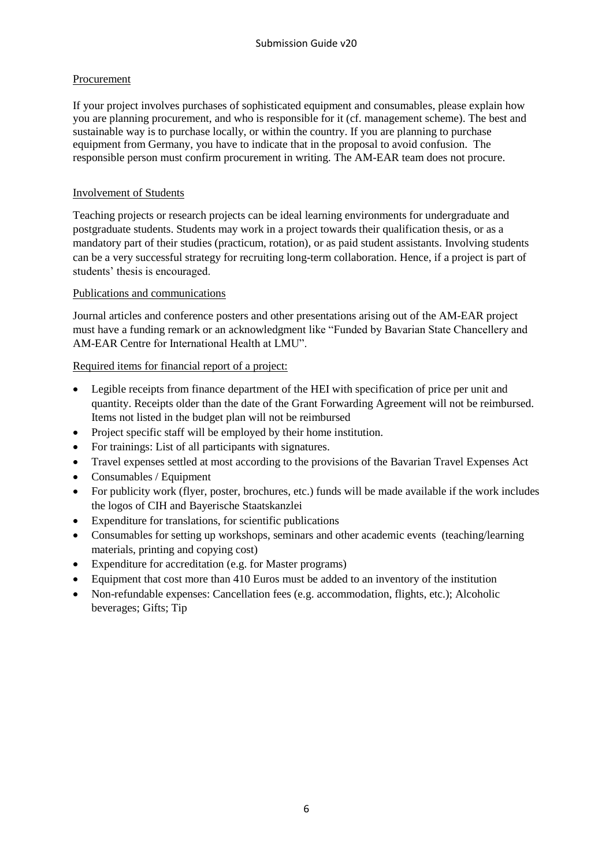# Procurement

If your project involves purchases of sophisticated equipment and consumables, please explain how you are planning procurement, and who is responsible for it (cf. management scheme). The best and sustainable way is to purchase locally, or within the country. If you are planning to purchase equipment from Germany, you have to indicate that in the proposal to avoid confusion. The responsible person must confirm procurement in writing. The AM-EAR team does not procure.

## Involvement of Students

Teaching projects or research projects can be ideal learning environments for undergraduate and postgraduate students. Students may work in a project towards their qualification thesis, or as a mandatory part of their studies (practicum, rotation), or as paid student assistants. Involving students can be a very successful strategy for recruiting long-term collaboration. Hence, if a project is part of students' thesis is encouraged.

# Publications and communications

Journal articles and conference posters and other presentations arising out of the AM-EAR project must have a funding remark or an acknowledgment like "Funded by Bavarian State Chancellery and AM-EAR Centre for International Health at LMU".

# Required items for financial report of a project:

- Legible receipts from finance department of the HEI with specification of price per unit and quantity. Receipts older than the date of the Grant Forwarding Agreement will not be reimbursed. Items not listed in the budget plan will not be reimbursed
- Project specific staff will be employed by their home institution.
- For trainings: List of all participants with signatures.
- Travel expenses settled at most according to the provisions of the Bavarian Travel Expenses Act
- Consumables / Equipment
- For publicity work (flyer, poster, brochures, etc.) funds will be made available if the work includes the logos of CIH and Bayerische Staatskanzlei
- Expenditure for translations, for scientific publications
- Consumables for setting up workshops, seminars and other academic events (teaching/learning materials, printing and copying cost)
- Expenditure for accreditation (e.g. for Master programs)
- Equipment that cost more than 410 Euros must be added to an inventory of the institution
- Non-refundable expenses: Cancellation fees (e.g. accommodation, flights, etc.); Alcoholic beverages; Gifts; Tip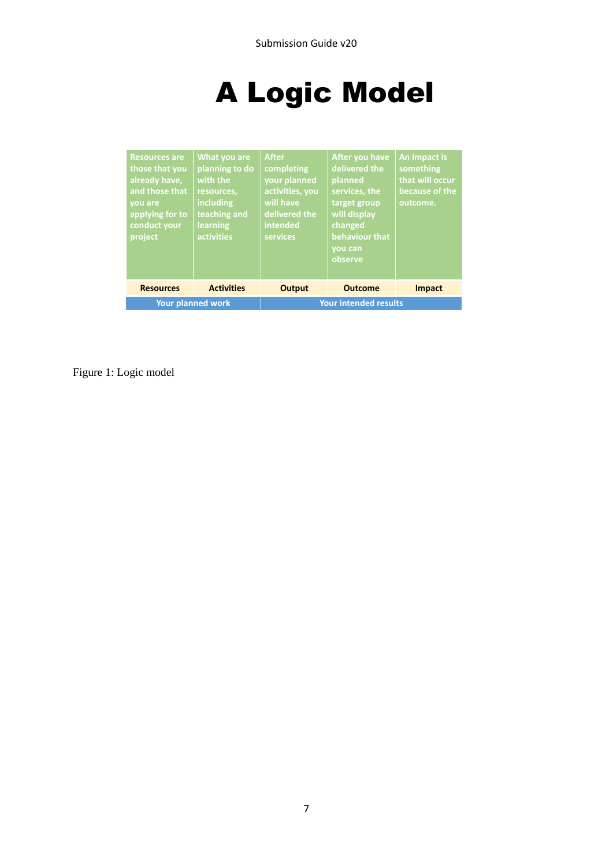# A Logic Model

| <b>Resources are</b><br>those that you<br>already have,<br>and those that<br>vou are<br>applying for to<br>conduct your<br>project | What you are<br>planning to do<br>with the<br>resources,<br>including<br>teaching and<br><b>learning</b><br>activities | <b>After</b><br>completing<br>your planned<br>activities, you<br>will have<br>delivered the<br>intended<br>services | After you have<br>delivered the<br>planned<br>services, the<br>target group<br>will display<br>changed<br>behaviour that<br>vou can<br>observe | An impact is<br>something<br>that will occur<br>because of the<br>outcome. |  |
|------------------------------------------------------------------------------------------------------------------------------------|------------------------------------------------------------------------------------------------------------------------|---------------------------------------------------------------------------------------------------------------------|------------------------------------------------------------------------------------------------------------------------------------------------|----------------------------------------------------------------------------|--|
| <b>Resources</b>                                                                                                                   | <b>Activities</b>                                                                                                      | <b>Output</b>                                                                                                       | <b>Outcome</b>                                                                                                                                 | <b>Impact</b>                                                              |  |
| <b>Your planned work</b>                                                                                                           |                                                                                                                        | <b>Your intended results</b>                                                                                        |                                                                                                                                                |                                                                            |  |

Figure 1: Logic model